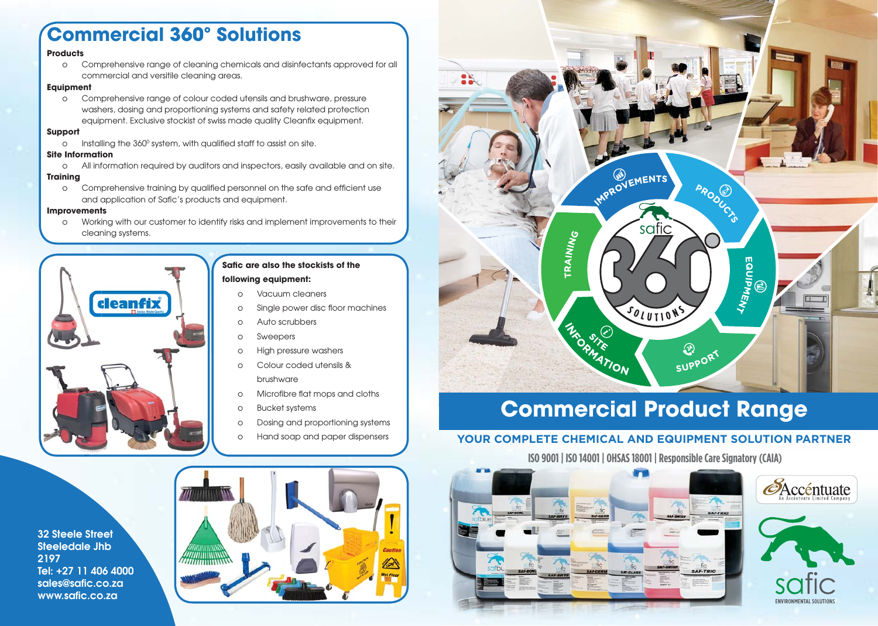# **Commercial 360º Solutions**

#### **Products**

o Comprehensive range of cleaning chemicals and disinfectants approved for all commercial and versitile cleaning areas.

#### **Equipment**

o Comprehensive range of colour coded utensils and brushware, pressure washers, dosing and proportioning systems and safety related protection equipment. Exclusive stockist of swiss made quality Cleanfix equipment.

#### **Support**

 $\circ$   $\;$  Installing the 360º system, with qualified staff to assist on site.

#### **Site Information**

o All information required by auditors and inspectors, easily available and on site.

#### **Training**

o Comprehensive training by qualified personnel on the safe and efficient use and application of Safic's products and equipment.

#### **Improvements**

 o Working with our customer to identify risks and implement improvements to their cleaning systems.



### **Safic are also the stockists of the**

#### **following equipment:**

- o Vacuum cleaners
- o Single power disc floor machines
- o Auto scrubbers
- o Sweepers
- o High pressure washers
- o Colour coded utensils & brushware
- o Microfibre flat mops and cloths
- o Bucket systems
- o Dosing and proportioning systems
- o Hand soap and paper dispensers

**32 Steele Street Steeledale Jhb 2197 Tel: +27 11 406 4000** sales@safic.co.za www.safic.co.za





# **Commercial Product Range**

### **YOUR COMPLETE CHEMICAL AND EQUIPMENT SOLUTION PARTNER**

 **ISO 9001 | ISO 14001 | OHSAS 18001 | Responsible Care Signatory (CAIA) ISO 9001 | ISO 14001 | OHSAS18001 |ResponsibleCareSignato**